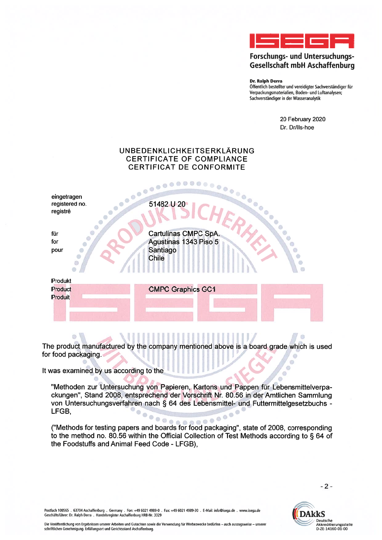

## Forschungs- und Untersuchungs-**Gesellschaft mbH Aschaffenburg**

**Dr. Ralph Derra** 

Öffentlich bestellter und vereidigter Sachverständiger für Verpackungsmaterialien, Boden- und Luftanalysen; Sachverständiger in der Wasseranalytik

> 20 February 2020 Dr. Dr/lls-hoe

> > (ii)  $\circ$

 $\circ$ 

## UNBEDENKLICHKEITSERKLÄRUNG CERTIFICATE OF COMPLIANCE **CERTIFICAT DE CONFORMITE** STARS CONSIDERED AND

eingetragen registered no. registré

für for pour

Produkt

Product

**CMPC Graphics GC1** 

Produit

**Cartulinas CMPC SpA.** 

Agustinas 1343 Piso 5

Santiago

**Chile** 

The product manufactured by the company mentioned above is a board grade which is used for food packaging.

It was examined by us according to the

 $\bullet$  $\bullet$ Ő ö

 $\ddot{\alpha}$ 

C C

 $\ddot{\circ}$ ó

"Methoden zur Untersuchung von Papieren, Kartons und Pappen für Lebensmittelverpackungen", Stand 2008, entsprechend der Vorschrift Nr. 80.56 in der Amtlichen Sammlung von Untersuchungsverfahren nach § 64 des Lebensmittel- und Futtermittelgesetzbuchs -LFGB.

 $0000$ ("Methods for testing papers and boards for food packaging", state of 2008, corresponding to the method no. 80.56 within the Official Collection of Test Methods according to § 64 of the Foodstuffs and Animal Feed Code - LFGB),

 $-2-$ 

Postfach 100565 . 63704 Aschaffenburg . Germany . Fon: +49 6021 4989-0 . Fax: +49 6021 4989-30 . E-Mail: info@isega.de . www.isega.de<br>Geschäftsführer: Dr. Ralph Derra . Handelsregister Aschaffenburg HRB-Nr. 3329

Ò

m

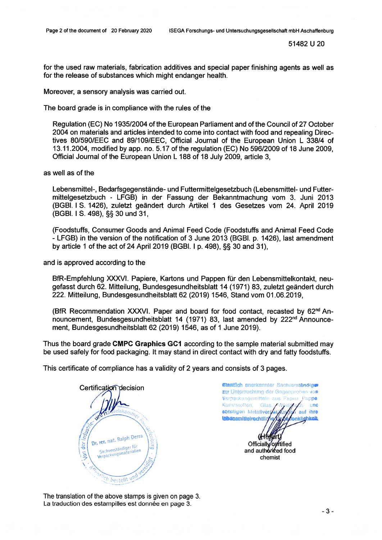51482 U 20

for the used raw materials, fabrication additives and special paper finishing agents as weil as for the release of substances which might endanger health.

Moreover, <sup>a</sup> sensory analysis was carried out.

The board grade is in compliance with the rules of the

Regulation (EC) No 1935/2004 of the European Parliament and of the Council of 27 October 2004 on materials and articles intended to come into contact with food and repealing Direc tives 80/590/EEC and 89/109/EEC, Official Journal of the European Union L 338/4 of 13.11.2004, modified by app. no. 5.17 of the regulation (EC) No 596/2009 of 18 June 2009, Official Journal of the European Union L 188 of 18 July 2009, article 3,

as weil as of the

Lebensmittel-, Bedarfsgegenstände- und Futtermittelgesetzbuch (Lebensmittel- und Futter mittelgesetzbuch - LFGB) in der Fassung der Bekanntmachung vom 3. Juni 2013 (BGBI. 1 S. 1426), zuletzt geändert durch Artikel 1 des Gesetzes vom 24. April 2019 (BGBI. I S. 498), §§ 30 und 31,

(Foodstuffs, Consumer Goods and Animal Feed Code (Foodstuffs and Animal Feed Code - LFGB) in the version of the notification of 3 June 2013 (BGBI. p. 1426), last amendment by article 1 of the act of 24 April 2019 (BGBI. I p. 498), §§ 30 and 31),

and is approved according to the

BfR-Empfehlung XXXVI. Papiere, Kartons und Pappen für den Lebensmittelkontakt, neugefasst durch 62. Mitteilung, Bundesgesundheitsblatt 14 (1971) 83, zuletzt geändert durch 222. Mitteilung, Bundesgesundheitsblatt 62 (2019) 1546, Stand vom 01.06.2019,

(BfR Recommendation XXXVI. Paper and board for food contact, recasted by 62<sup>nd</sup> Announcement, Bundesgesundheitsblatt 14 (1971) 83, last amended by 222<sup>nd</sup> Announcement, Bundesgesundheitsblatt 62 (2019) 1546, as of 1 June 2019).

Thus the board grade CMPC Graphics GCI according to the sample material submitted may be used safely for food packaging. lt may stand in direct contact with dry and fatty foodstuffs.

This certificate of compliance has <sup>a</sup> validity of 2 years and consists of 3 pages.

Certification decision Industri Dr. rer. nat. Ralph Derra  $der$  / rer, nat. 1121.<br>Sachverständiger für<br>Verpackungsmaterialien ion Ch bestellt un

Castloh anerkennter Sechverständiger zer Untersuchung der Gegenproben von Vernackengemitteln aus Papier Pappe Kunststoffen, Glas, Avgißten und sonstigen Metallverrachingen auf ihre **Isbanamitteirechtlic oklichkell** Officially/cartified and authorized food chemist

The translation of the above stamps is given on page 3. La traduction des estampilles est donnée en page 3.